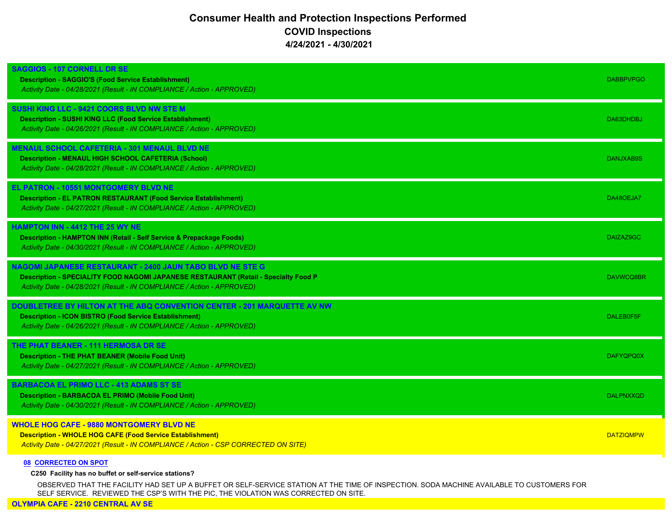## **Consumer Health and Protection Inspections Performed COVID Inspections 4/24/2021 - 4/30/2021**

| <b>SAGGIOS - 107 CORNELL DR SE</b><br><b>Description - SAGGIO'S (Food Service Establishment)</b><br>Activity Date - 04/28/2021 (Result - IN COMPLIANCE / Action - APPROVED)                                                 | <b>DABBPVPGO</b> |
|-----------------------------------------------------------------------------------------------------------------------------------------------------------------------------------------------------------------------------|------------------|
| SUSHI KING LLC - 9421 COORS BLVD NW STE M<br><b>Description - SUSHI KING LLC (Food Service Establishment)</b><br>Activity Date - 04/26/2021 (Result - IN COMPLIANCE / Action - APPROVED)                                    | DA63DHDBJ        |
| <b>IENAUL SCHOOL CAFETERIA - 301 MENAUL BLVD NE</b><br><b>Description - MENAUL HIGH SCHOOL CAFETERIA (School)</b><br>Activity Date - 04/28/2021 (Result - IN COMPLIANCE / Action - APPROVED)                                | DANJXAB9S        |
| <b>EL PATRON - 10551 MONTGOMERY BLVD NE</b><br><b>Description - EL PATRON RESTAURANT (Food Service Establishment)</b><br>Activity Date - 04/27/2021 (Result - IN COMPLIANCE / Action - APPROVED)                            | DA48OEJA7        |
| <b>HAMPTON INN - 4412 THE 25 WY NE</b><br><b>Description - HAMPTON INN (Retail - Self Service &amp; Prepackage Foods)</b><br>Activity Date - 04/30/2021 (Result - IN COMPLIANCE / Action - APPROVED)                        | DAIZAZ9GC        |
| NAGOMI JAPANESE RESTAURANT - 2400 JAUN TABO BLVD NE STE G<br>Description - SPECIALITY FOOD NAGOMI JAPANESE RESTAURANT (Retail - Specialty Food P<br>Activity Date - 04/28/2021 (Result - IN COMPLIANCE / Action - APPROVED) | DAVWCQ8BR        |
| DOUBLETREE BY HILTON AT THE ABQ CONVENTION CENTER - 201 MARQUETTE AV NW<br><b>Description - ICON BISTRO (Food Service Establishment)</b><br>Activity Date - 04/26/2021 (Result - IN COMPLIANCE / Action - APPROVED)         | DALEB0F5F        |
| THE PHAT BEANER - 111 HERMOSA DR SE<br><b>Description - THE PHAT BEANER (Mobile Food Unit)</b><br>Activity Date - 04/27/2021 (Result - IN COMPLIANCE / Action - APPROVED)                                                   | <b>DAFYQPQ0X</b> |
| <b>BARBACOA EL PRIMO LLC - 413 ADAMS ST SE</b><br><b>Description - BARBACOA EL PRIMO (Mobile Food Unit)</b><br>Activity Date - 04/30/2021 (Result - IN COMPLIANCE / Action - APPROVED)                                      | <b>DALPNXXOD</b> |
| <b>WHOLE HOG CAFE - 9880 MONTGOMERY BLVD NE</b><br><b>Description - WHOLE HOG CAFE (Food Service Establishment)</b><br>Activity Date - 04/27/2021 (Result - IN COMPLIANCE / Action - CSP CORRECTED ON SITE)                 | <b>DATZIQMPW</b> |
| <b>08 CORRECTED ON SPOT</b>                                                                                                                                                                                                 |                  |

## **C250 Facility has no buffet or self-service stations?**

OBSERVED THAT THE FACILITY HAD SET UP A BUFFET OR SELF-SERVICE STATION AT THE TIME OF INSPECTION. SODA MACHINE AVAILABLE TO CUSTOMERS FOR SELF SERVICE. REVIEWED THE CSP'S WITH THE PIC, THE VIOLATION WAS CORRECTED ON SITE.